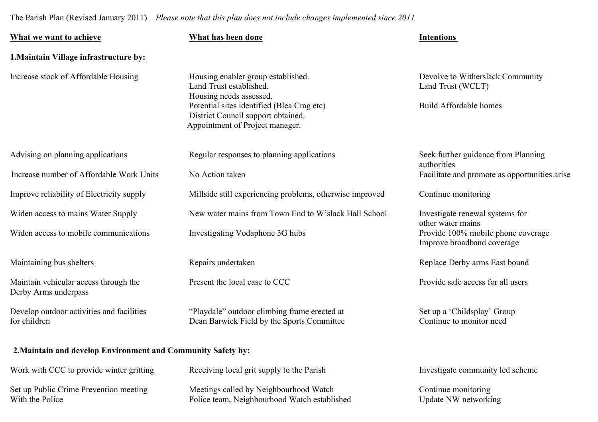## The Parish Plan (Revised January 2011) *Please note that this plan does not include changes implemented since 2011*

| What we want to achieve                                       | What has been done                                                                                                  | <b>Intentions</b>                                                |
|---------------------------------------------------------------|---------------------------------------------------------------------------------------------------------------------|------------------------------------------------------------------|
| <b>1. Maintain Village infrastructure by:</b>                 |                                                                                                                     |                                                                  |
| Increase stock of Affordable Housing                          | Housing enabler group established.<br>Land Trust established.<br>Housing needs assessed.                            | Devolve to Witherslack Community<br>Land Trust (WCLT)            |
|                                                               | Potential sites identified (Blea Crag etc)<br>District Council support obtained.<br>Appointment of Project manager. | <b>Build Affordable homes</b>                                    |
| Advising on planning applications                             | Regular responses to planning applications                                                                          | Seek further guidance from Planning<br>authorities               |
| Increase number of Affordable Work Units                      | No Action taken                                                                                                     | Facilitate and promote as opportunities arise                    |
| Improve reliability of Electricity supply                     | Millside still experiencing problems, otherwise improved                                                            | Continue monitoring                                              |
| Widen access to mains Water Supply                            | New water mains from Town End to W'slack Hall School                                                                | Investigate renewal systems for<br>other water mains             |
| Widen access to mobile communications                         | Investigating Vodaphone 3G hubs                                                                                     | Provide 100% mobile phone coverage<br>Improve broadband coverage |
| Maintaining bus shelters                                      | Repairs undertaken                                                                                                  | Replace Derby arms East bound                                    |
| Maintain vehicular access through the<br>Derby Arms underpass | Present the local case to CCC                                                                                       | Provide safe access for all users                                |
| Develop outdoor activities and facilities<br>for children     | "Playdale" outdoor climbing frame erected at<br>Dean Barwick Field by the Sports Committee                          | Set up a 'Childsplay' Group<br>Continue to monitor need          |

| Work with CCC to provide winter gritting | Receiving local grit supply to the Parish    | Investigate community led scheme |
|------------------------------------------|----------------------------------------------|----------------------------------|
| Set up Public Crime Prevention meeting   | Meetings called by Neighbourhood Watch       | Continue monitoring              |
| With the Police                          | Police team, Neighbourhood Watch established | Update NW networking             |